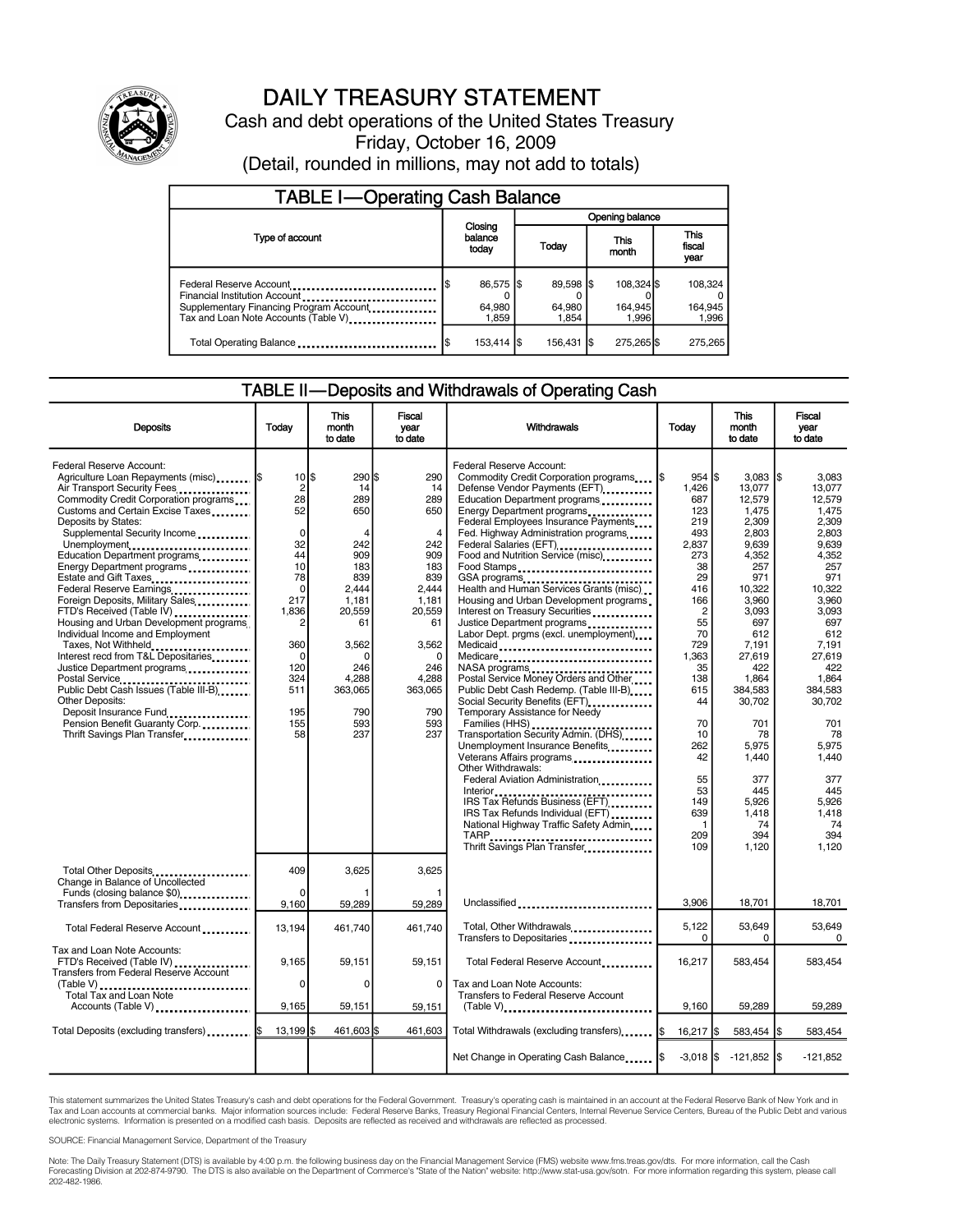

## DAILY TREASURY STATEMENT

Cash and debt operations of the United States Treasury Friday, October 16, 2009 (Detail, rounded in millions, may not add to totals)

| <b>TABLE I-Operating Cash Balance</b>                                                                                                        |                             |                              |       |                              |               |                                |  |                               |  |
|----------------------------------------------------------------------------------------------------------------------------------------------|-----------------------------|------------------------------|-------|------------------------------|---------------|--------------------------------|--|-------------------------------|--|
|                                                                                                                                              |                             |                              |       | Opening balance              |               |                                |  |                               |  |
| Type of account                                                                                                                              | Closing<br>balance<br>today |                              | Today |                              | This<br>month |                                |  | <b>This</b><br>fiscal<br>year |  |
| Federal Reserve Account<br>Financial Institution Account<br>Supplementary Financing Program Account.<br>Tax and Loan Note Accounts (Table V) | 1\$                         | 86,575 \$<br>64,980<br>1.859 |       | 89,598 \$<br>64,980<br>1.854 |               | 108,324 \$<br>164,945<br>1.996 |  | 108.324<br>164,945<br>1.996   |  |
| Total Operating Balance                                                                                                                      | l\$                         | 153,414   \$                 |       | 156.431 S                    |               | 275,265 \$                     |  | 275,265                       |  |

#### TABLE II—Deposits and Withdrawals of Operating Cash

| <b>Deposits</b>                                                                                                                                                                                                                                                                                                                                                                                                                                                                                                                                                                                                                                                                                                                                                                | Today                                                                                                                                                                                                   | This<br>month<br>to date                                                                                                                                                          | Fiscal<br>vear<br>to date                                                                                                                                                       | Withdrawals                                                                                                                                                                                                                                                                                                                                                                                                                                                                                                                                                                                                                                                                                                                                                                                                                                                                                                                                                                                                                                                                        | Today                                                                                                                                                                                                                                             | This<br>month<br>to date                                                                                                                                                                                                                                                    | Fiscal<br>vear<br>to date                                                                                                                                                                                                                                                          |
|--------------------------------------------------------------------------------------------------------------------------------------------------------------------------------------------------------------------------------------------------------------------------------------------------------------------------------------------------------------------------------------------------------------------------------------------------------------------------------------------------------------------------------------------------------------------------------------------------------------------------------------------------------------------------------------------------------------------------------------------------------------------------------|---------------------------------------------------------------------------------------------------------------------------------------------------------------------------------------------------------|-----------------------------------------------------------------------------------------------------------------------------------------------------------------------------------|---------------------------------------------------------------------------------------------------------------------------------------------------------------------------------|------------------------------------------------------------------------------------------------------------------------------------------------------------------------------------------------------------------------------------------------------------------------------------------------------------------------------------------------------------------------------------------------------------------------------------------------------------------------------------------------------------------------------------------------------------------------------------------------------------------------------------------------------------------------------------------------------------------------------------------------------------------------------------------------------------------------------------------------------------------------------------------------------------------------------------------------------------------------------------------------------------------------------------------------------------------------------------|---------------------------------------------------------------------------------------------------------------------------------------------------------------------------------------------------------------------------------------------------|-----------------------------------------------------------------------------------------------------------------------------------------------------------------------------------------------------------------------------------------------------------------------------|------------------------------------------------------------------------------------------------------------------------------------------------------------------------------------------------------------------------------------------------------------------------------------|
| Federal Reserve Account:<br>Agriculture Loan Repayments (misc)  \$<br>Air Transport Security Fees<br>Commodity Credit Corporation programs<br>Customs and Certain Excise Taxes<br>Deposits by States:<br>Supplemental Security Income<br>Unemployment<br>Education Department programs<br>Energy Department programs<br>Estate and Gift Taxes<br>Federal Reserve Earnings<br>Foreign Deposits, Military Sales<br>FTD's Received (Table IV)<br>Housing and Urban Development programs<br>Individual Income and Employment<br>Taxes, Not Withheld.<br>Interest recd from T&L Depositaries<br>Justice Department programs<br>Public Debt Cash Issues (Table III-B)<br>Other Deposits:<br>Deposit Insurance Fund<br>Pension Benefit Guaranty Corp.<br>Thrift Savings Plan Transfer | $10$ $\frac{5}{5}$<br>$\overline{c}$<br>28<br>52<br>$\mathbf 0$<br>32<br>44<br>10<br>78<br>$\mathbf 0$<br>217<br>1.836<br>$\overline{c}$<br>360<br>$\mathbf 0$<br>120<br>324<br>511<br>195<br>155<br>58 | $290$ \$<br>14<br>289<br>650<br>$\overline{4}$<br>242<br>909<br>183<br>839<br>2.444<br>1.181<br>20.559<br>61<br>3,562<br>$\Omega$<br>246<br>4.288<br>363,065<br>790<br>593<br>237 | 290<br>14<br>289<br>650<br>$\overline{4}$<br>242<br>909<br>183<br>839<br>2.444<br>1,181<br>20.559<br>61<br>3.562<br>$\mathbf 0$<br>246<br>4.288<br>363,065<br>790<br>593<br>237 | Federal Reserve Account:<br>Commodity Credit Corporation programs<br>Defense Vendor Payments (EFT)<br>Education Department programs<br>Energy Department programs<br>Federal Employees Insurance Payments<br>Fed. Highway Administration programs<br>Federal Salaries (EFT)<br>Food and Nutrition Service (misc)<br>Food Stamps<br>GSA programs<br>Health and Human Services Grants (misc)<br>Housing and Urban Development programs<br>Interest on Treasury Securities<br>Justice Department programs<br>Labor Dept. prgms (excl. unemployment)<br>Medicaid<br>Medicare<br>NASA programs<br>Postal Service Money Orders and Other<br>Public Debt Cash Redemp. (Table III-B)<br>Social Security Benefits (EFT)<br>Temporary Assistance for Needy<br>Families (HHS)<br>Transportation Security Admin. (DHS)<br>Unemployment Insurance Benefits<br>Veterans Affairs programs<br>Other Withdrawals:<br>Federal Aviation Administration<br>IRS Tax Refunds Business (EFT)<br>IRS Tax Refunds Individual (EFT)<br>National Highway Traffic Safety Admin<br>Thrift Savings Plan Transfer | $954$ \\$<br>1,426<br>687<br>123<br>219<br>493<br>2.837<br>273<br>38<br>29<br>416<br>166<br>$\overline{2}$<br>55<br>70<br>729<br>1,363<br>35<br>138<br>615<br>44<br>70<br>10<br>262<br>42<br>55<br>53<br>149<br>639<br>$\mathbf{1}$<br>209<br>109 | 3.083<br>13,077<br>12,579<br>1,475<br>2,309<br>2.803<br>9.639<br>4,352<br>257<br>971<br>10,322<br>3.960<br>3.093<br>697<br>612<br>7.191<br>27,619<br>422<br>1.864<br>384,583<br>30,702<br>701<br>78<br>5,975<br>1.440<br>377<br>445<br>5,926<br>1,418<br>74<br>394<br>1,120 | l\$<br>3.083<br>13,077<br>12,579<br>1.475<br>2,309<br>2.803<br>9.639<br>4,352<br>257<br>971<br>10.322<br>3.960<br>3.093<br>697<br>612<br>7.191<br>27,619<br>422<br>1.864<br>384,583<br>30,702<br>701<br>78<br>5.975<br>1.440<br>377<br>445<br>5,926<br>1,418<br>74<br>394<br>1,120 |
| Total Other Deposits<br>Change in Balance of Uncollected                                                                                                                                                                                                                                                                                                                                                                                                                                                                                                                                                                                                                                                                                                                       | 409                                                                                                                                                                                                     | 3,625                                                                                                                                                                             | 3,625                                                                                                                                                                           |                                                                                                                                                                                                                                                                                                                                                                                                                                                                                                                                                                                                                                                                                                                                                                                                                                                                                                                                                                                                                                                                                    |                                                                                                                                                                                                                                                   |                                                                                                                                                                                                                                                                             |                                                                                                                                                                                                                                                                                    |
| Funds (closing balance \$0)<br>Transfers from Depositaries                                                                                                                                                                                                                                                                                                                                                                                                                                                                                                                                                                                                                                                                                                                     | $\Omega$<br>9,160                                                                                                                                                                                       | 59,289                                                                                                                                                                            | 59,289                                                                                                                                                                          | Unclassified                                                                                                                                                                                                                                                                                                                                                                                                                                                                                                                                                                                                                                                                                                                                                                                                                                                                                                                                                                                                                                                                       | 3,906                                                                                                                                                                                                                                             | 18,701                                                                                                                                                                                                                                                                      | 18,701                                                                                                                                                                                                                                                                             |
| Total Federal Reserve Account                                                                                                                                                                                                                                                                                                                                                                                                                                                                                                                                                                                                                                                                                                                                                  | 13,194                                                                                                                                                                                                  | 461,740                                                                                                                                                                           | 461,740                                                                                                                                                                         | Total, Other Withdrawals<br>Transfers to Depositaries                                                                                                                                                                                                                                                                                                                                                                                                                                                                                                                                                                                                                                                                                                                                                                                                                                                                                                                                                                                                                              | 5,122<br>0                                                                                                                                                                                                                                        | 53.649<br>0                                                                                                                                                                                                                                                                 | 53.649<br>0                                                                                                                                                                                                                                                                        |
| Tax and Loan Note Accounts:<br>FTD's Received (Table IV)<br><b>Transfers from Federal Reserve Account</b>                                                                                                                                                                                                                                                                                                                                                                                                                                                                                                                                                                                                                                                                      | 9,165                                                                                                                                                                                                   | 59,151                                                                                                                                                                            | 59,151                                                                                                                                                                          | Total Federal Reserve Account                                                                                                                                                                                                                                                                                                                                                                                                                                                                                                                                                                                                                                                                                                                                                                                                                                                                                                                                                                                                                                                      | 16,217                                                                                                                                                                                                                                            | 583,454                                                                                                                                                                                                                                                                     | 583,454                                                                                                                                                                                                                                                                            |
| Total Tax and Loan Note<br>Accounts (Table V)                                                                                                                                                                                                                                                                                                                                                                                                                                                                                                                                                                                                                                                                                                                                  | $\mathbf 0$<br>9,165                                                                                                                                                                                    | $\mathbf 0$<br>59,151                                                                                                                                                             | $\Omega$<br>59,151                                                                                                                                                              | Tax and Loan Note Accounts:<br>Transfers to Federal Reserve Account<br>(Table V)                                                                                                                                                                                                                                                                                                                                                                                                                                                                                                                                                                                                                                                                                                                                                                                                                                                                                                                                                                                                   | 9.160                                                                                                                                                                                                                                             | 59,289                                                                                                                                                                                                                                                                      | 59,289                                                                                                                                                                                                                                                                             |
| Total Deposits (excluding transfers)                                                                                                                                                                                                                                                                                                                                                                                                                                                                                                                                                                                                                                                                                                                                           | $13,199$ \$                                                                                                                                                                                             | 461,603 \$                                                                                                                                                                        | 461,603                                                                                                                                                                         | Total Withdrawals (excluding transfers) S                                                                                                                                                                                                                                                                                                                                                                                                                                                                                                                                                                                                                                                                                                                                                                                                                                                                                                                                                                                                                                          | 16,217 \$                                                                                                                                                                                                                                         | 583,454 \$                                                                                                                                                                                                                                                                  | 583,454                                                                                                                                                                                                                                                                            |
|                                                                                                                                                                                                                                                                                                                                                                                                                                                                                                                                                                                                                                                                                                                                                                                |                                                                                                                                                                                                         |                                                                                                                                                                                   |                                                                                                                                                                                 | Net Change in Operating Cash Balance                                                                                                                                                                                                                                                                                                                                                                                                                                                                                                                                                                                                                                                                                                                                                                                                                                                                                                                                                                                                                                               |                                                                                                                                                                                                                                                   | $-3.018$ $\frac{1}{3}$ $-121.852$ $\frac{1}{3}$                                                                                                                                                                                                                             | $-121,852$                                                                                                                                                                                                                                                                         |

This statement summarizes the United States Treasury's cash and debt operations for the Federal Government. Treasury's operating cash is maintained in an account at the Federal Reserve Bank of New York and in Tax and Loan accounts at commercial banks. Major information sources include: Federal Reserve Banks, Treasury Regional Financial Centers, Internal Revenue Service Centers, Bureau of the Public Debt and various<br>electronic s

SOURCE: Financial Management Service, Department of the Treasury

Note: The Daily Treasury Statement (DTS) is available by 4:00 p.m. the following business day on the Financial Management Service (FMS) website www.fms.treas.gov/dts. For more information, call the Cash<br>Forecasting Divisio